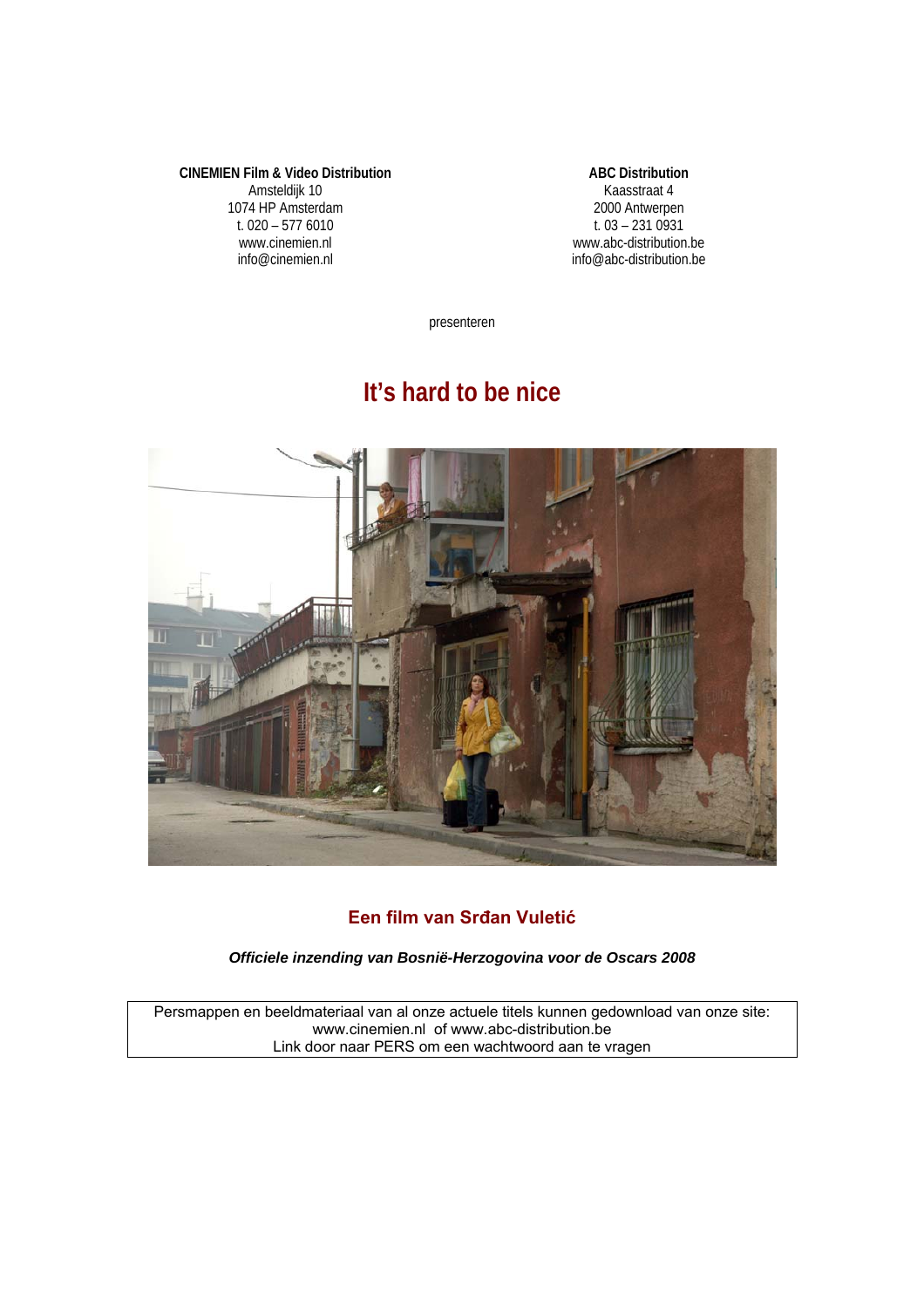**CINEMIEN Film & Video Distribution**  Amsteldijk 10 1074 HP Amsterdam t. 020 – 577 6010 www.cinemien.nl info@cinemien.nl

**ABC Distribution**  Kaasstraat 4 2000 Antwerpen t.  $03 - 2310931$ www.abc-distribution.be info@abc-distribution.be

presenteren

# **It's hard to be nice**



## **Een film van Srđan Vuletić**

*Officiele inzending van Bosnië-Herzogovina voor de Oscars 2008* 

Persmappen en beeldmateriaal van al onze actuele titels kunnen gedownload van onze site: www.cinemien.nl of www.abc-distribution.be Link door naar PERS om een wachtwoord aan te vragen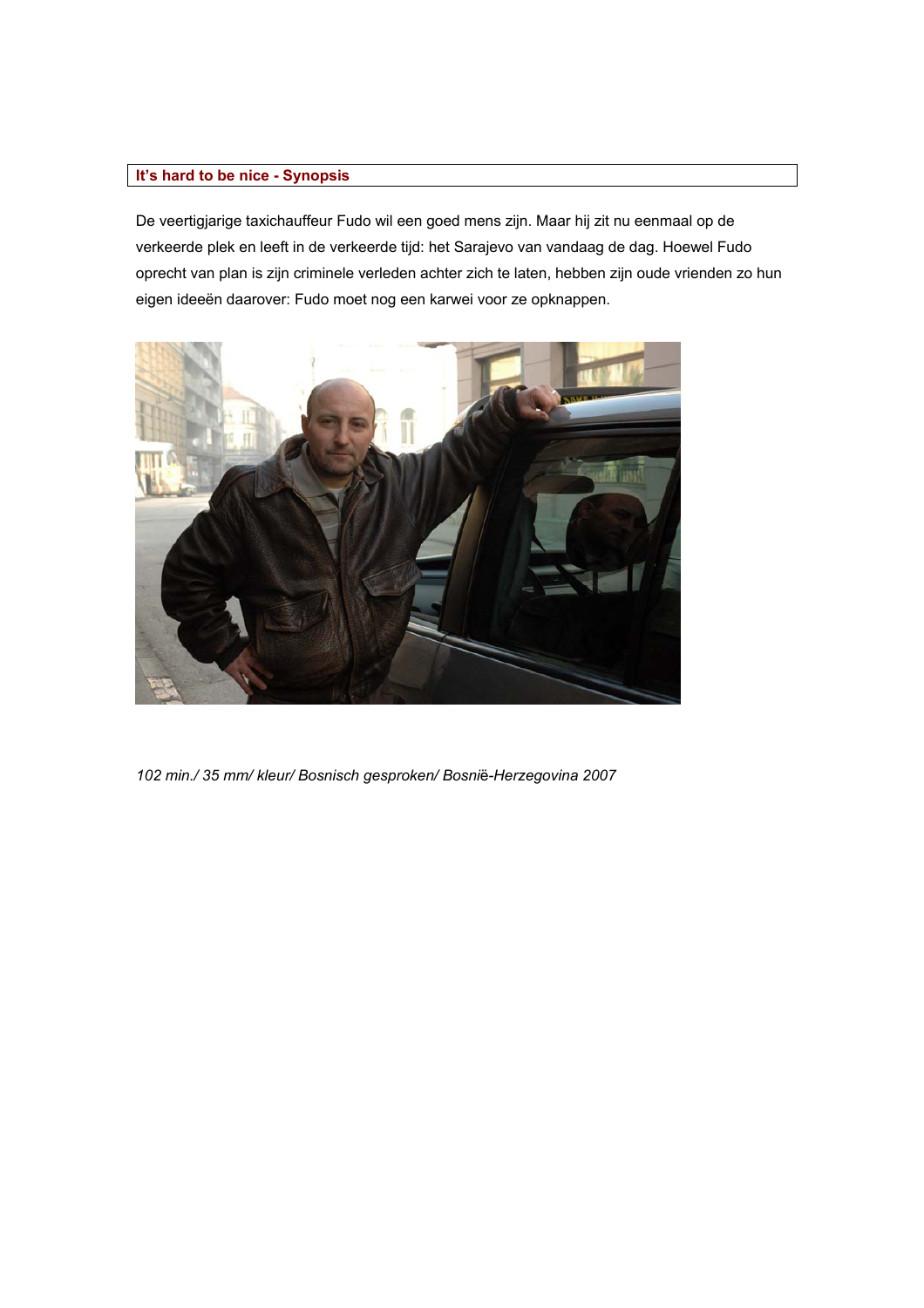### **It's hard to be nice - Synopsis**

De veertigjarige taxichauffeur Fudo wil een goed mens zijn. Maar hij zit nu eenmaal op de verkeerde plek en leeft in de verkeerde tijd: het Sarajevo van vandaag de dag. Hoewel Fudo oprecht van plan is zijn criminele verleden achter zich te laten, hebben zijn oude vrienden zo hun eigen ideeën daarover: Fudo moet nog een karwei voor ze opknappen.



*102 min./ 35 mm/ kleur/ Bosnisch gesproken/ Bosni*ë*-Herzegovina 2007*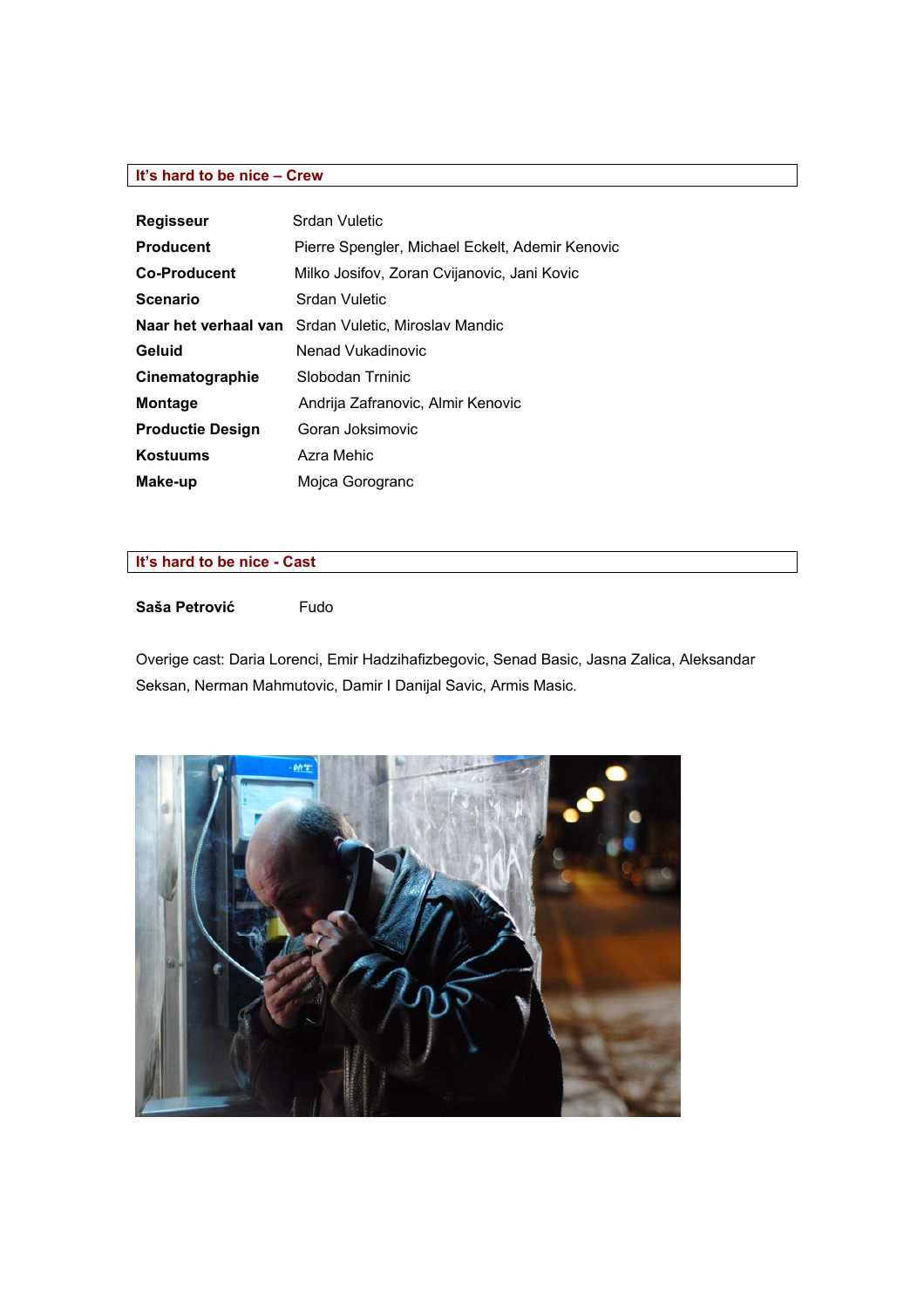### **It's hard to be nice – Crew**

| <b>Regisseur</b>        | Srdan Vuletic                                   |
|-------------------------|-------------------------------------------------|
| <b>Producent</b>        | Pierre Spengler, Michael Eckelt, Ademir Kenovic |
| <b>Co-Producent</b>     | Milko Josifov, Zoran Cvijanovic, Jani Kovic     |
| <b>Scenario</b>         | Srdan Vuletic                                   |
| Naar het verhaal van    | Srdan Vuletic, Miroslav Mandic                  |
| Geluid                  | Nenad Vukadinovic                               |
| Cinematographie         | Slobodan Trninic                                |
| <b>Montage</b>          | Andrija Zafranovic, Almir Kenovic               |
| <b>Productie Design</b> | Goran Joksimovic                                |
| <b>Kostuums</b>         | Azra Mehic                                      |
| Make-up                 | Mojca Gorogranc                                 |

# **It's hard to be nice - Cast**

### **Saša Petrović** Fudo

Overige cast: Daria Lorenci, Emir Hadzihafizbegovic, Senad Basic, Jasna Zalica, Aleksandar Seksan, Nerman Mahmutovic, Damir I Danijal Savic, Armis Masic.

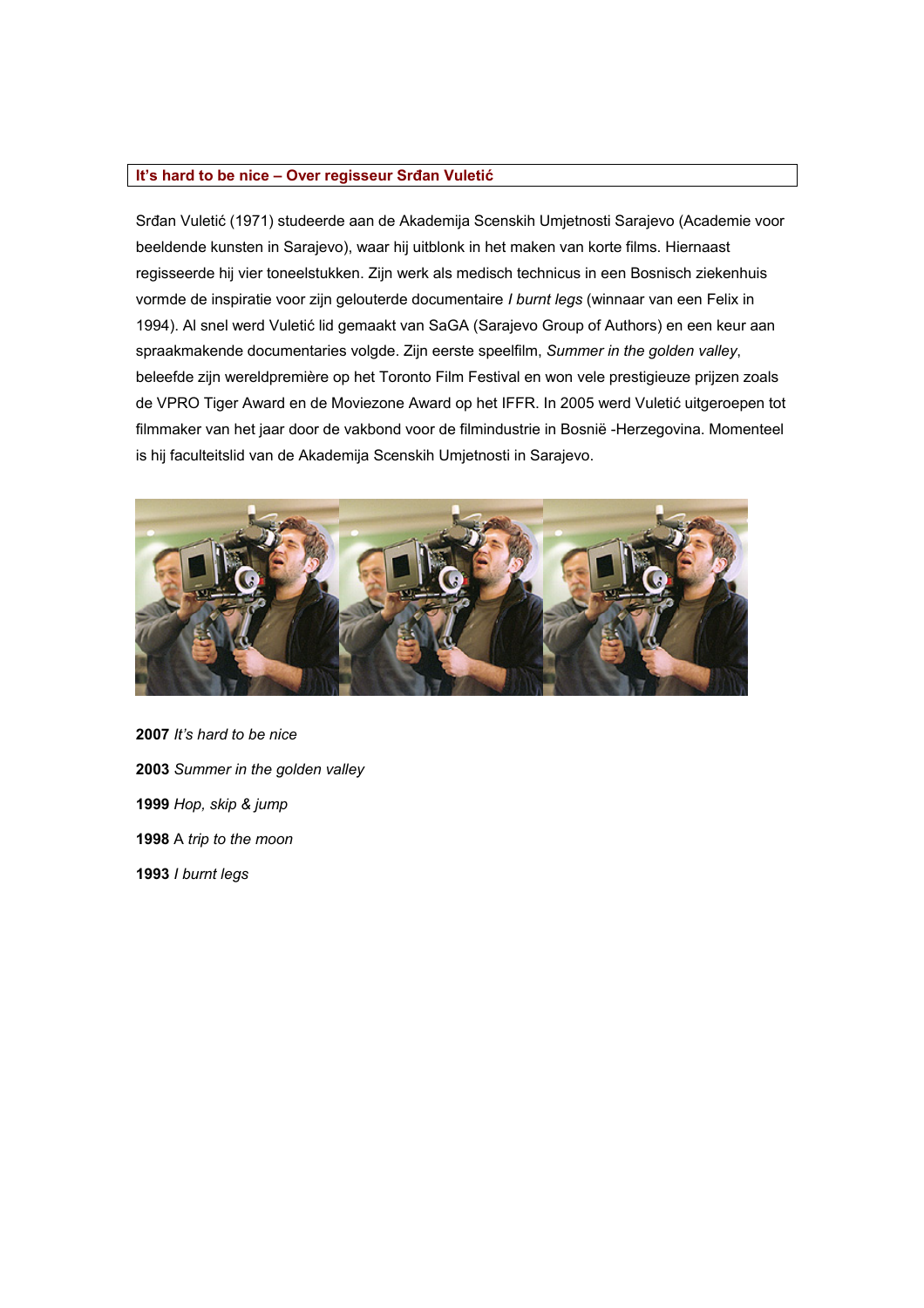### **It's hard to be nice – Over regisseur Srđan Vuletić**

Srđan Vuletić (1971) studeerde aan de Akademija Scenskih Umjetnosti Sarajevo (Academie voor beeldende kunsten in Sarajevo), waar hij uitblonk in het maken van korte films. Hiernaast regisseerde hij vier toneelstukken. Zijn werk als medisch technicus in een Bosnisch ziekenhuis vormde de inspiratie voor zijn gelouterde documentaire *I burnt legs* (winnaar van een Felix in 1994). Al snel werd Vuletić lid gemaakt van SaGA (Sarajevo Group of Authors) en een keur aan spraakmakende documentaries volgde. Zijn eerste speelfilm, *Summer in the golden valley*, beleefde zijn wereldpremière op het Toronto Film Festival en won vele prestigieuze prijzen zoals de VPRO Tiger Award en de Moviezone Award op het IFFR. In 2005 werd Vuletić uitgeroepen tot filmmaker van het jaar door de vakbond voor de filmindustrie in Bosnië -Herzegovina. Momenteel is hij faculteitslid van de Akademija Scenskih Umjetnosti in Sarajevo.



 *It's hard to be nice Summer in the golden valley Hop, skip & jump* A *trip to the moon I burnt legs*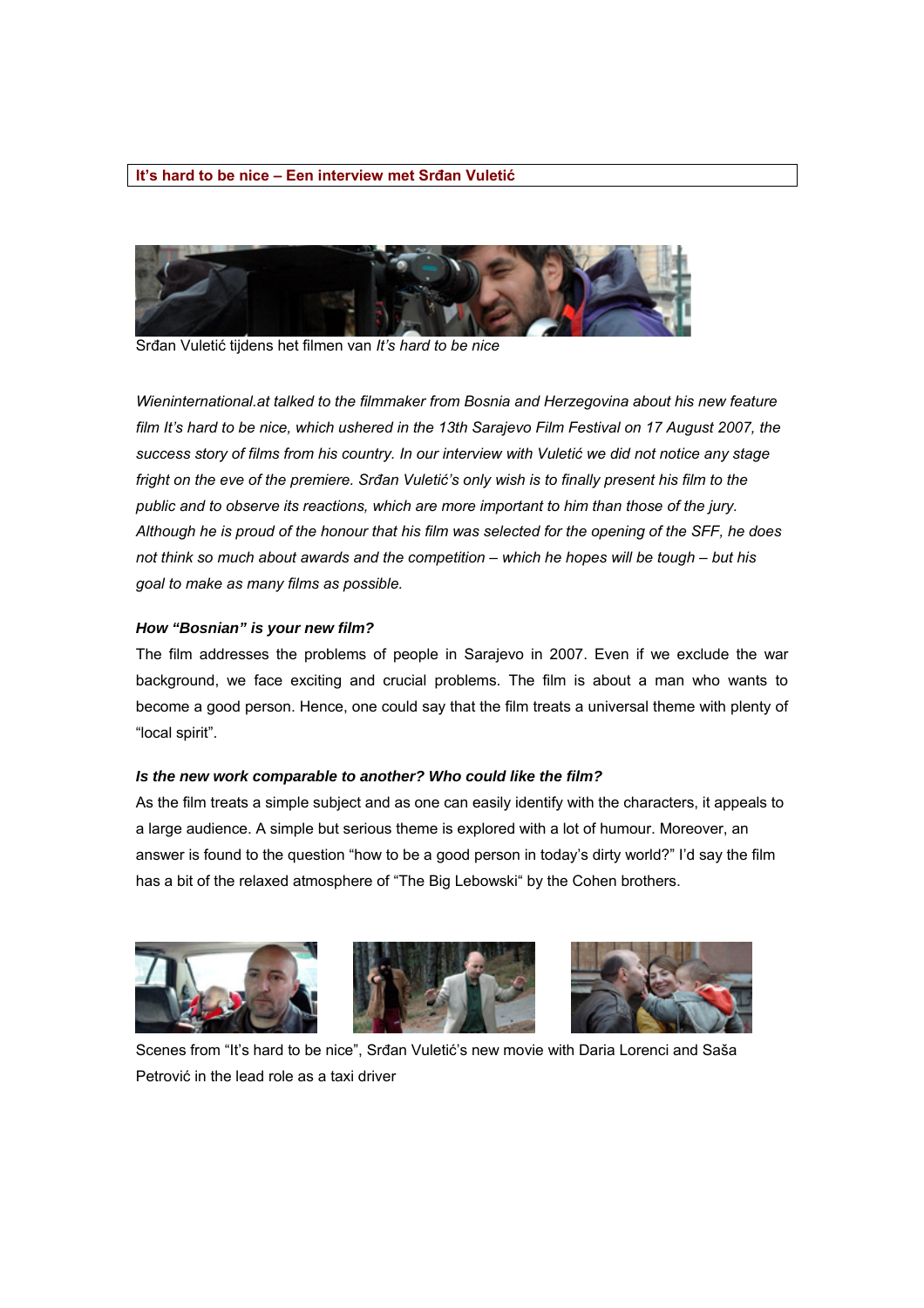#### **It's hard to be nice – Een interview met Srđan Vuletić**



Srđan Vuletić tijdens het filmen van *It's hard to be nice*

*Wieninternational.at talked to the filmmaker from Bosnia and Herzegovina about his new feature*  film It's hard to be nice, which ushered in the 13th Sarajevo Film Festival on 17 August 2007, the *success story of films from his country. In our interview with Vuletić we did not notice any stage fright on the eve of the premiere. Srđan Vuletić's only wish is to finally present his film to the public and to observe its reactions, which are more important to him than those of the jury. Although he is proud of the honour that his film was selected for the opening of the SFF, he does not think so much about awards and the competition – which he hopes will be tough – but his goal to make as many films as possible.* 

#### *How "Bosnian" is your new film?*

The film addresses the problems of people in Sarajevo in 2007. Even if we exclude the war background, we face exciting and crucial problems. The film is about a man who wants to become a good person. Hence, one could say that the film treats a universal theme with plenty of "local spirit".

#### *Is the new work comparable to another? Who could like the film?*

As the film treats a simple subject and as one can easily identify with the characters, it appeals to a large audience. A simple but serious theme is explored with a lot of humour. Moreover, an answer is found to the question "how to be a good person in today's dirty world?" I'd say the film has a bit of the relaxed atmosphere of "The Big Lebowski" by the Cohen brothers.







Scenes from "It's hard to be nice", Srđan Vuletić's new movie with Daria Lorenci and Saša Petrović in the lead role as a taxi driver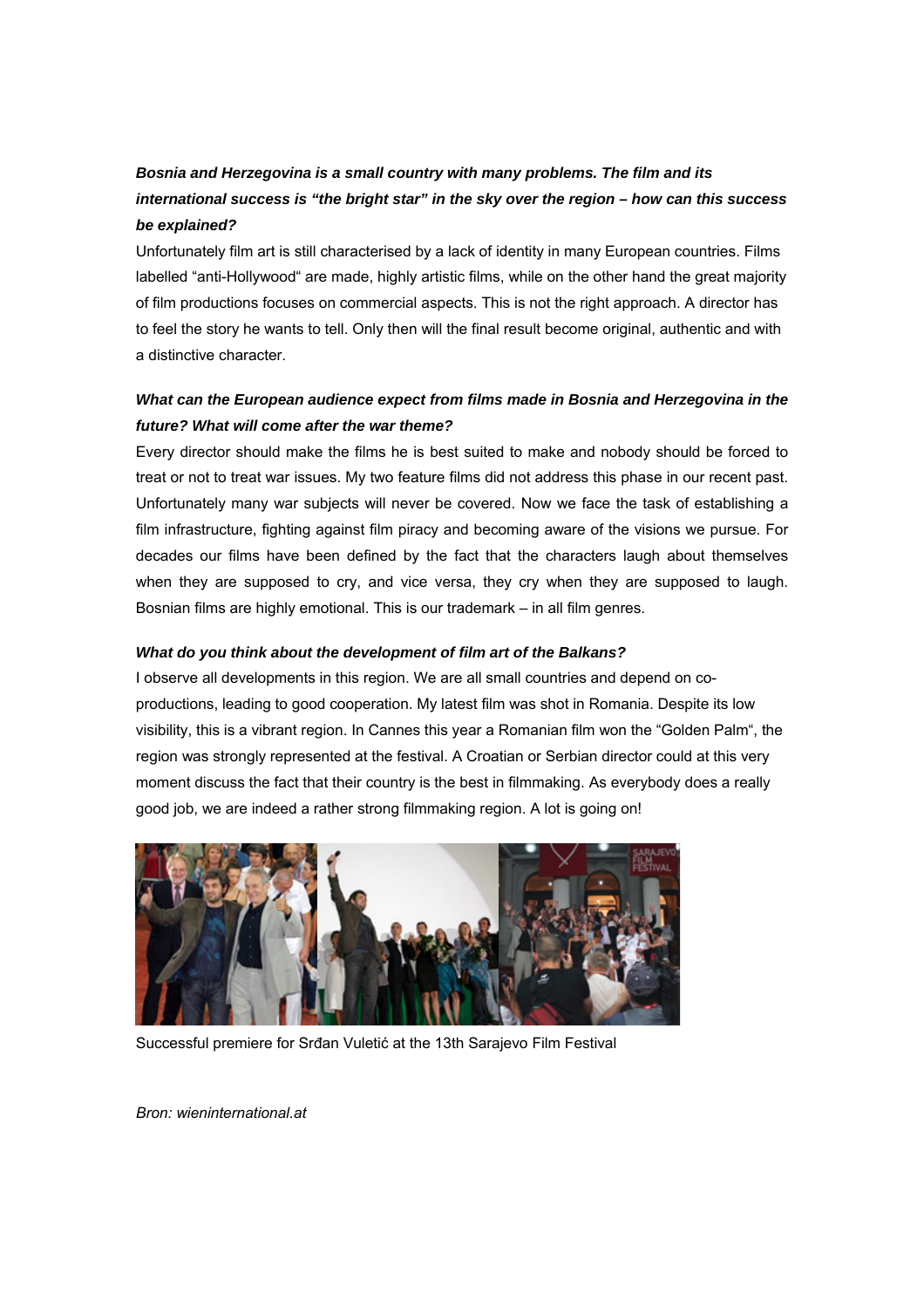# *Bosnia and Herzegovina is a small country with many problems. The film and its international success is "the bright star" in the sky over the region – how can this success be explained?*

Unfortunately film art is still characterised by a lack of identity in many European countries. Films labelled "anti-Hollywood" are made, highly artistic films, while on the other hand the great majority of film productions focuses on commercial aspects. This is not the right approach. A director has to feel the story he wants to tell. Only then will the final result become original, authentic and with a distinctive character.

# *What can the European audience expect from films made in Bosnia and Herzegovina in the future? What will come after the war theme?*

Every director should make the films he is best suited to make and nobody should be forced to treat or not to treat war issues. My two feature films did not address this phase in our recent past. Unfortunately many war subjects will never be covered. Now we face the task of establishing a film infrastructure, fighting against film piracy and becoming aware of the visions we pursue. For decades our films have been defined by the fact that the characters laugh about themselves when they are supposed to cry, and vice versa, they cry when they are supposed to laugh. Bosnian films are highly emotional. This is our trademark – in all film genres.

### *What do you think about the development of film art of the Balkans?*

I observe all developments in this region. We are all small countries and depend on coproductions, leading to good cooperation. My latest film was shot in Romania. Despite its low visibility, this is a vibrant region. In Cannes this year a Romanian film won the "Golden Palm", the region was strongly represented at the festival. A Croatian or Serbian director could at this very moment discuss the fact that their country is the best in filmmaking. As everybody does a really good job, we are indeed a rather strong filmmaking region. A lot is going on!



Successful premiere for Srđan Vuletić at the 13th Sarajevo Film Festival

*Bron: wieninternational.at*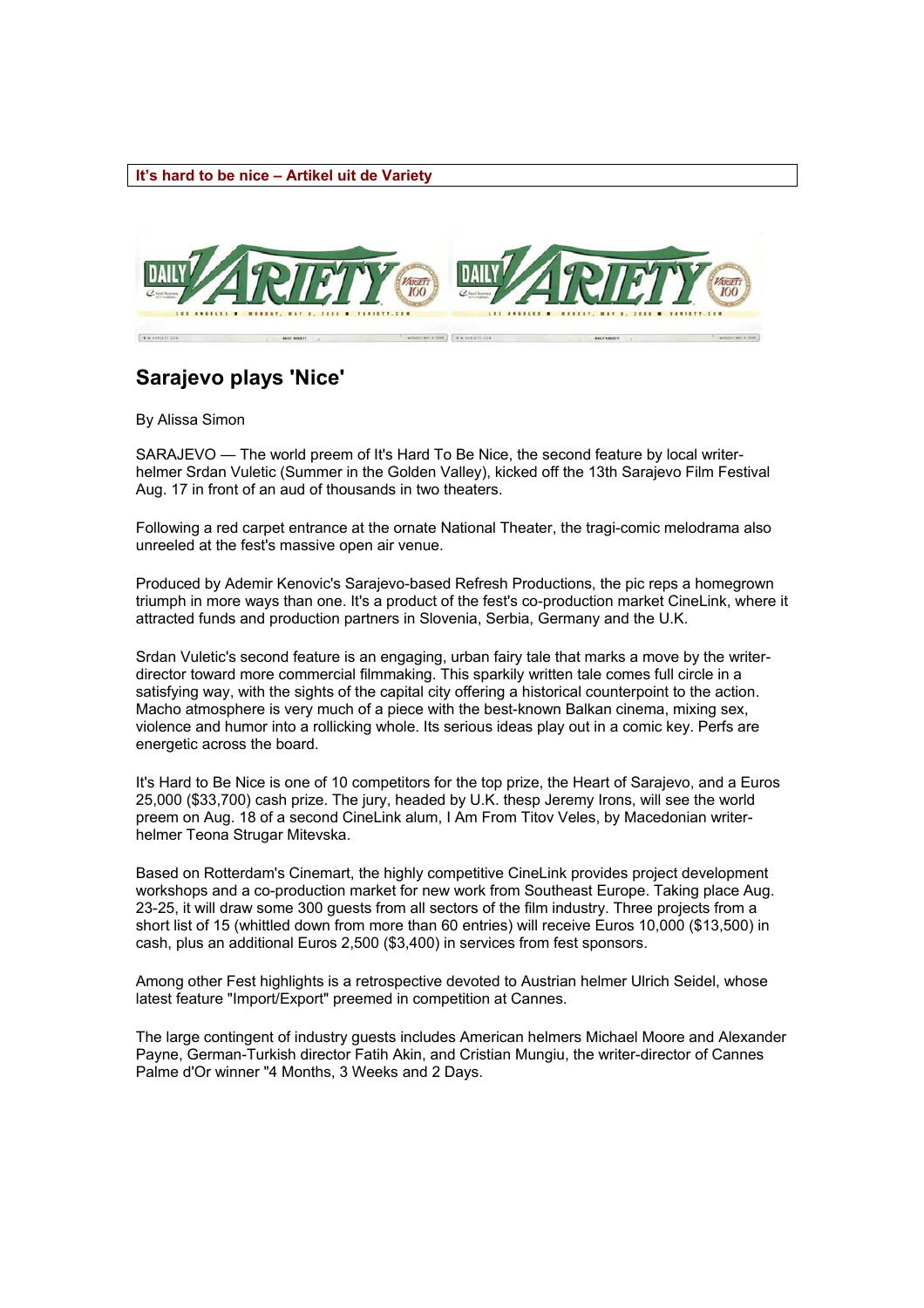#### **It's hard to be nice – Artikel uit de Variety**



# **Sarajevo plays 'Nice'**

By Alissa Simon

SARAJEVO — The world preem of It's Hard To Be Nice, the second feature by local writerhelmer Srdan Vuletic (Summer in the Golden Valley), kicked off the 13th Sarajevo Film Festival Aug. 17 in front of an aud of thousands in two theaters.

Following a red carpet entrance at the ornate National Theater, the tragi-comic melodrama also unreeled at the fest's massive open air venue.

Produced by Ademir Kenovic's Sarajevo-based Refresh Productions, the pic reps a homegrown triumph in more ways than one. It's a product of the fest's co-production market CineLink, where it attracted funds and production partners in Slovenia, Serbia, Germany and the U.K.

Srdan Vuletic's second feature is an engaging, urban fairy tale that marks a move by the writerdirector toward more commercial filmmaking. This sparkily written tale comes full circle in a satisfying way, with the sights of the capital city offering a historical counterpoint to the action. Macho atmosphere is very much of a piece with the best-known Balkan cinema, mixing sex, violence and humor into a rollicking whole. Its serious ideas play out in a comic key. Perfs are energetic across the board.

It's Hard to Be Nice is one of 10 competitors for the top prize, the Heart of Sarajevo, and a Euros 25,000 (\$33,700) cash prize. The jury, headed by U.K. thesp Jeremy Irons, will see the world preem on Aug. 18 of a second CineLink alum, I Am From Titov Veles, by Macedonian writerhelmer Teona Strugar Mitevska.

Based on Rotterdam's Cinemart, the highly competitive CineLink provides project development workshops and a co-production market for new work from Southeast Europe. Taking place Aug. 23-25, it will draw some 300 guests from all sectors of the film industry. Three projects from a short list of 15 (whittled down from more than 60 entries) will receive Euros 10,000 (\$13,500) in cash, plus an additional Euros 2,500 (\$3,400) in services from fest sponsors.

Among other Fest highlights is a retrospective devoted to Austrian helmer Ulrich Seidel, whose latest feature "Import/Export" preemed in competition at Cannes.

The large contingent of industry guests includes American helmers Michael Moore and Alexander Payne, German-Turkish director Fatih Akin, and Cristian Mungiu, the writer-director of Cannes Palme d'Or winner "4 Months, 3 Weeks and 2 Days.